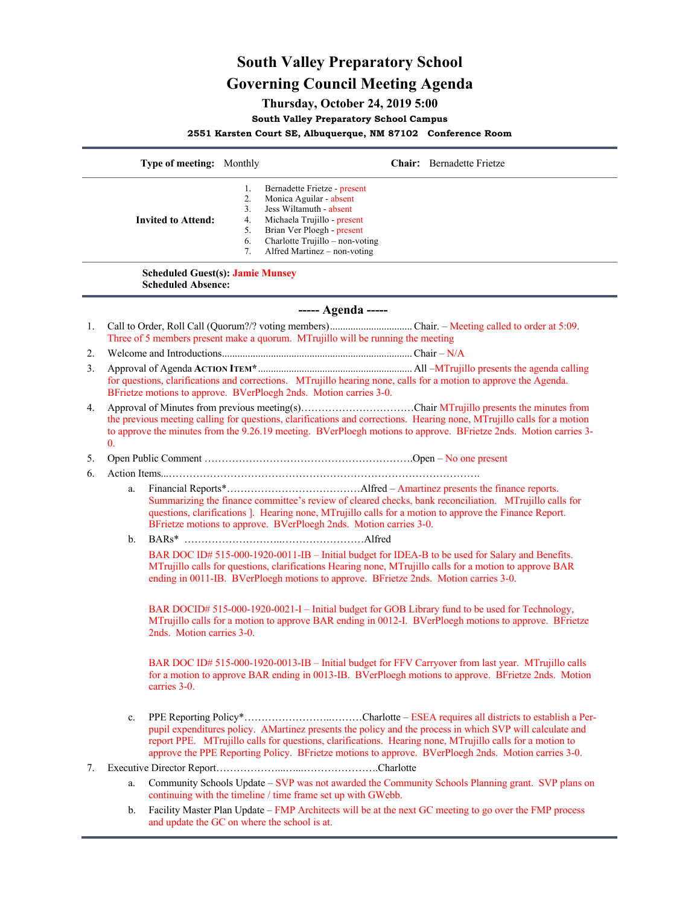# **South Valley Preparatory School Governing Council Meeting Agenda**

## **Thursday, October 24, 2019 5:00**

**South Valley Preparatory School Campus**

**2551 Karsten Court SE, Albuquerque, NM 87102 Conference Room**

|                           |    | Bernadette Frietze - present    |  |
|---------------------------|----|---------------------------------|--|
|                           |    | Monica Aguilar - absent         |  |
|                           |    | Jess Wiltamuth - absent         |  |
| <b>Invited to Attend:</b> | 4. | Michaela Trujillo - present     |  |
|                           | 5. | Brian Ver Ploegh - present      |  |
|                           | 6. | Charlotte Trujillo – non-voting |  |
|                           |    | Alfred Martinez – non-voting    |  |
|                           |    |                                 |  |

**Scheduled Absence:**

#### **----- Agenda -----**

- 1. Call to Order, Roll Call (Quorum?/? voting members)................................Chair. Meeting called to order at 5:09. Three of 5 members present make a quorum. MTrujillo will be running the meeting
- 2. Welcome and Introductions..........................................................................Chair N/A
- 3. Approval of Agenda **ACTION ITEM\***............................................................All –MTrujillo presents the agenda calling for questions, clarifications and corrections. MTrujillo hearing none, calls for a motion to approve the Agenda. BFrietze motions to approve. BVerPloegh 2nds. Motion carries 3-0.
- 4. Approval of Minutes from previous meeting(s).................................Chair MTrujillo presents the minutes from the previous meeting calling for questions, clarifications and corrections. Hearing none, MTrujillo calls for a motion to approve the minutes from the 9.26.19 meeting. BVerPloegh motions to approve. BFrietze 2nds. Motion carries 3- 0.
- 5. Open Public Comment …………………………………………………….Open No one present
- 6. Action Items...……………………………………………………………………………….
	- a. Financial Reports\*…………………………………Alfred Amartinez presents the finance reports. Summarizing the finance committee's review of cleared checks, bank reconciliation. MTrujillo calls for questions, clarifications ]. Hearing none, MTrujillo calls for a motion to approve the Finance Report. BFrietze motions to approve. BVerPloegh 2nds. Motion carries 3-0.
	- b. BARs\* ………………………..……………………Alfred BAR DOC ID# 515-000-1920-0011-IB – Initial budget for IDEA-B to be used for Salary and Benefits. MTrujillo calls for questions, clarifications Hearing none, MTrujillo calls for a motion to approve BAR ending in 0011-IB. BVerPloegh motions to approve. BFrietze 2nds. Motion carries 3-0.

BAR DOCID# 515-000-1920-0021-I – Initial budget for GOB Library fund to be used for Technology, MTrujillo calls for a motion to approve BAR ending in 0012-I. BVerPloegh motions to approve. BFrietze 2nds. Motion carries 3-0.

BAR DOC ID# 515-000-1920-0013-IB – Initial budget for FFV Carryover from last year. MTrujillo calls for a motion to approve BAR ending in 0013-IB. BVerPloegh motions to approve. BFrietze 2nds. Motion carries 3-0.

- c. PPE Reporting Policy\*……………………..………Charlotte ESEA requires all districts to establish a Perpupil expenditures policy. AMartinez presents the policy and the process in which SVP will calculate and report PPE. MTrujillo calls for questions, clarifications. Hearing none, MTrujillo calls for a motion to approve the PPE Reporting Policy. BFrietze motions to approve. BVerPloegh 2nds. Motion carries 3-0.
- 7. Executive Director Report………………...…...………………….Charlotte
	- a. Community Schools Update SVP was not awarded the Community Schools Planning grant. SVP plans on continuing with the timeline / time frame set up with GWebb.
	- b. Facility Master Plan Update FMP Architects will be at the next GC meeting to go over the FMP process and update the GC on where the school is at.